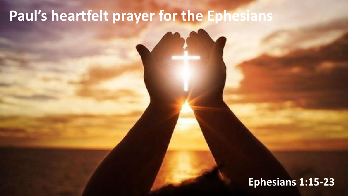#### Paul's heartfelt prayer for the Ephesians

#### Ephesians 1:15-23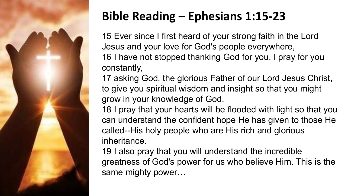

#### Bible Reading – Ephesians 1:15-23

15 Ever since I first heard of your strong faith in the Lord Jesus and your love for God's people everywhere, 16 I have not stopped thanking God for you. I pray for you constantly,

17 asking God, the glorious Father of our Lord Jesus Christ, to give you spiritual wisdom and insight so that you might grow in your knowledge of God.

18 I pray that your hearts will be flooded with light so that you can understand the confident hope He has given to those He called--His holy people who are His rich and glorious inheritance.

19 I also pray that you will understand the incredible greatness of God's power for us who believe Him. This is the same mighty power…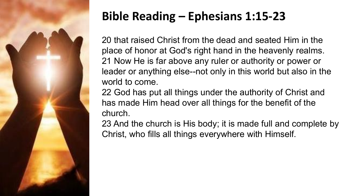

#### Bible Reading – Ephesians 1:15-23

20 that raised Christ from the dead and seated Him in the place of honor at God's right hand in the heavenly realms. 21 Now He is far above any ruler or authority or power or leader or anything else--not only in this world but also in the world to come.

22 God has put all things under the authority of Christ and has made Him head over all things for the benefit of the church.

23 And the church is His body; it is made full and complete by Christ, who fills all things everywhere with Himself.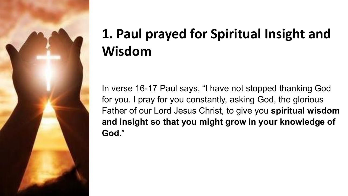

### 1. Paul prayed for Spiritual Insight and Wisdom

In verse 16-17 Paul says, "I have not stopped thanking God for you. I pray for you constantly, asking God, the glorious Father of our Lord Jesus Christ, to give you spiritual wisdom and insight so that you might grow in your knowledge of God."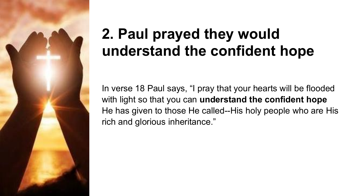

## 2. Paul prayed they would understand the confident hope

In verse 18 Paul says, "I pray that your hearts will be flooded with light so that you can understand the confident hope He has given to those He called--His holy people who are His rich and glorious inheritance."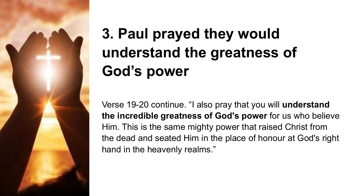

## 3. Paul prayed they would understand the greatness of God's power

Verse 19-20 continue. "I also pray that you will understand the incredible greatness of God's power for us who believe Him. This is the same mighty power that raised Christ from the dead and seated Him in the place of honour at God's right hand in the heavenly realms."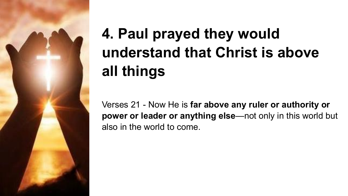

# 4. Paul prayed they would understand that Christ is above all things

Verses 21 - Now He is far above any ruler or authority or power or leader or anything else—not only in this world but also in the world to come.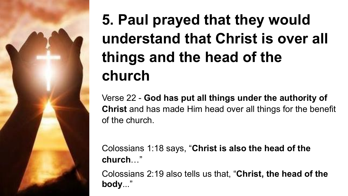## 5. Paul prayed that they would understand that Christ is over all things and the head of the church

Verse 22 - God has put all things under the authority of Christ and has made Him head over all things for the benefit of the church.

Colossians 1:18 says, "Christ is also the head of the church…"

Colossians 2:19 also tells us that, "Christ, the head of the body..."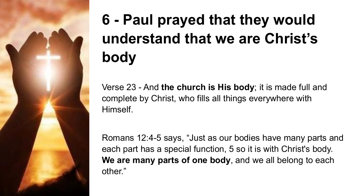

# 6 - Paul prayed that they would understand that we are Christ's body

Verse 23 - And the church is His body; it is made full and complete by Christ, who fills all things everywhere with Himself.

Romans 12:4-5 says, "Just as our bodies have many parts and each part has a special function, 5 so it is with Christ's body. We are many parts of one body, and we all belong to each other."